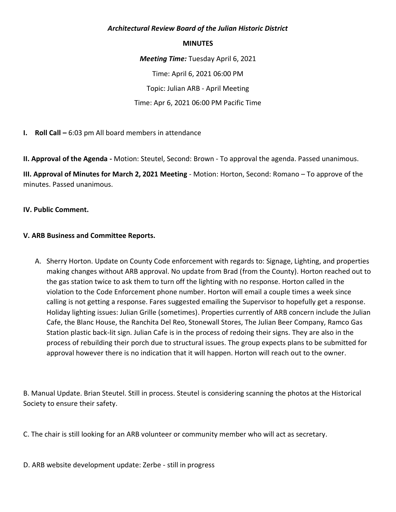### *Architectural Review Board of the Julian Historic District*

#### **MINUTES**

*Meeting Time:* Tuesday April 6, 2021 Time: April 6, 2021 06:00 PM Topic: Julian ARB - April Meeting Time: Apr 6, 2021 06:00 PM Pacific Time

**I. Roll Call –** 6:03 pm All board members in attendance

**II. Approval of the Agenda -** Motion: Steutel, Second: Brown - To approval the agenda. Passed unanimous.

**III. Approval of Minutes for March 2, 2021 Meeting** - Motion: Horton, Second: Romano – To approve of the minutes. Passed unanimous.

### **IV. Public Comment.**

### **V. ARB Business and Committee Reports.**

A. Sherry Horton. Update on County Code enforcement with regards to: Signage, Lighting, and properties making changes without ARB approval. No update from Brad (from the County). Horton reached out to the gas station twice to ask them to turn off the lighting with no response. Horton called in the violation to the Code Enforcement phone number. Horton will email a couple times a week since calling is not getting a response. Fares suggested emailing the Supervisor to hopefully get a response. Holiday lighting issues: Julian Grille (sometimes). Properties currently of ARB concern include the Julian Cafe, the Blanc House, the Ranchita Del Reo, Stonewall Stores, The Julian Beer Company, Ramco Gas Station plastic back-lit sign. Julian Cafe is in the process of redoing their signs. They are also in the process of rebuilding their porch due to structural issues. The group expects plans to be submitted for approval however there is no indication that it will happen. Horton will reach out to the owner.

B. Manual Update. Brian Steutel. Still in process. Steutel is considering scanning the photos at the Historical Society to ensure their safety.

C. The chair is still looking for an ARB volunteer or community member who will act as secretary.

D. ARB website development update: Zerbe - still in progress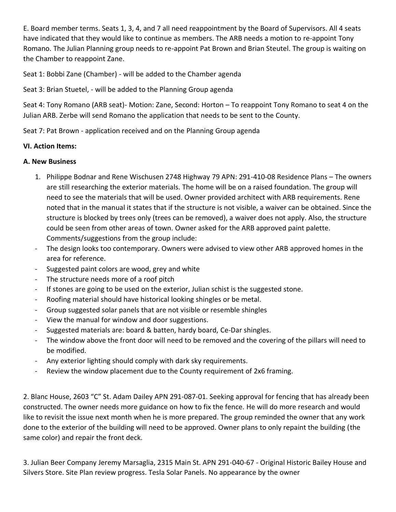E. Board member terms. Seats 1, 3, 4, and 7 all need reappointment by the Board of Supervisors. All 4 seats have indicated that they would like to continue as members. The ARB needs a motion to re-appoint Tony Romano. The Julian Planning group needs to re-appoint Pat Brown and Brian Steutel. The group is waiting on the Chamber to reappoint Zane.

Seat 1: Bobbi Zane (Chamber) - will be added to the Chamber agenda

Seat 3: Brian Stuetel, - will be added to the Planning Group agenda

Seat 4: Tony Romano (ARB seat)- Motion: Zane, Second: Horton – To reappoint Tony Romano to seat 4 on the Julian ARB. Zerbe will send Romano the application that needs to be sent to the County.

Seat 7: Pat Brown - application received and on the Planning Group agenda

# **VI. Action Items:**

# **A. New Business**

- 1. Philippe Bodnar and Rene Wischusen 2748 Highway 79 APN: 291-410-08 Residence Plans The owners are still researching the exterior materials. The home will be on a raised foundation. The group will need to see the materials that will be used. Owner provided architect with ARB requirements. Rene noted that in the manual it states that if the structure is not visible, a waiver can be obtained. Since the structure is blocked by trees only (trees can be removed), a waiver does not apply. Also, the structure could be seen from other areas of town. Owner asked for the ARB approved paint palette. Comments/suggestions from the group include:
- The design looks too contemporary. Owners were advised to view other ARB approved homes in the area for reference.
- Suggested paint colors are wood, grey and white
- The structure needs more of a roof pitch
- If stones are going to be used on the exterior, Julian schist is the suggested stone.
- Roofing material should have historical looking shingles or be metal.
- Group suggested solar panels that are not visible or resemble shingles
- View the manual for window and door suggestions.
- Suggested materials are: board & batten, hardy board, Ce-Dar shingles.
- The window above the front door will need to be removed and the covering of the pillars will need to be modified.
- Any exterior lighting should comply with dark sky requirements.
- Review the window placement due to the County requirement of 2x6 framing.

2. Blanc House, 2603 "C" St. Adam Dailey APN 291-087-01. Seeking approval for fencing that has already been constructed. The owner needs more guidance on how to fix the fence. He will do more research and would like to revisit the issue next month when he is more prepared. The group reminded the owner that any work done to the exterior of the building will need to be approved. Owner plans to only repaint the building (the same color) and repair the front deck.

3. Julian Beer Company Jeremy Marsaglia, 2315 Main St. APN 291-040-67 - Original Historic Bailey House and Silvers Store. Site Plan review progress. Tesla Solar Panels. No appearance by the owner